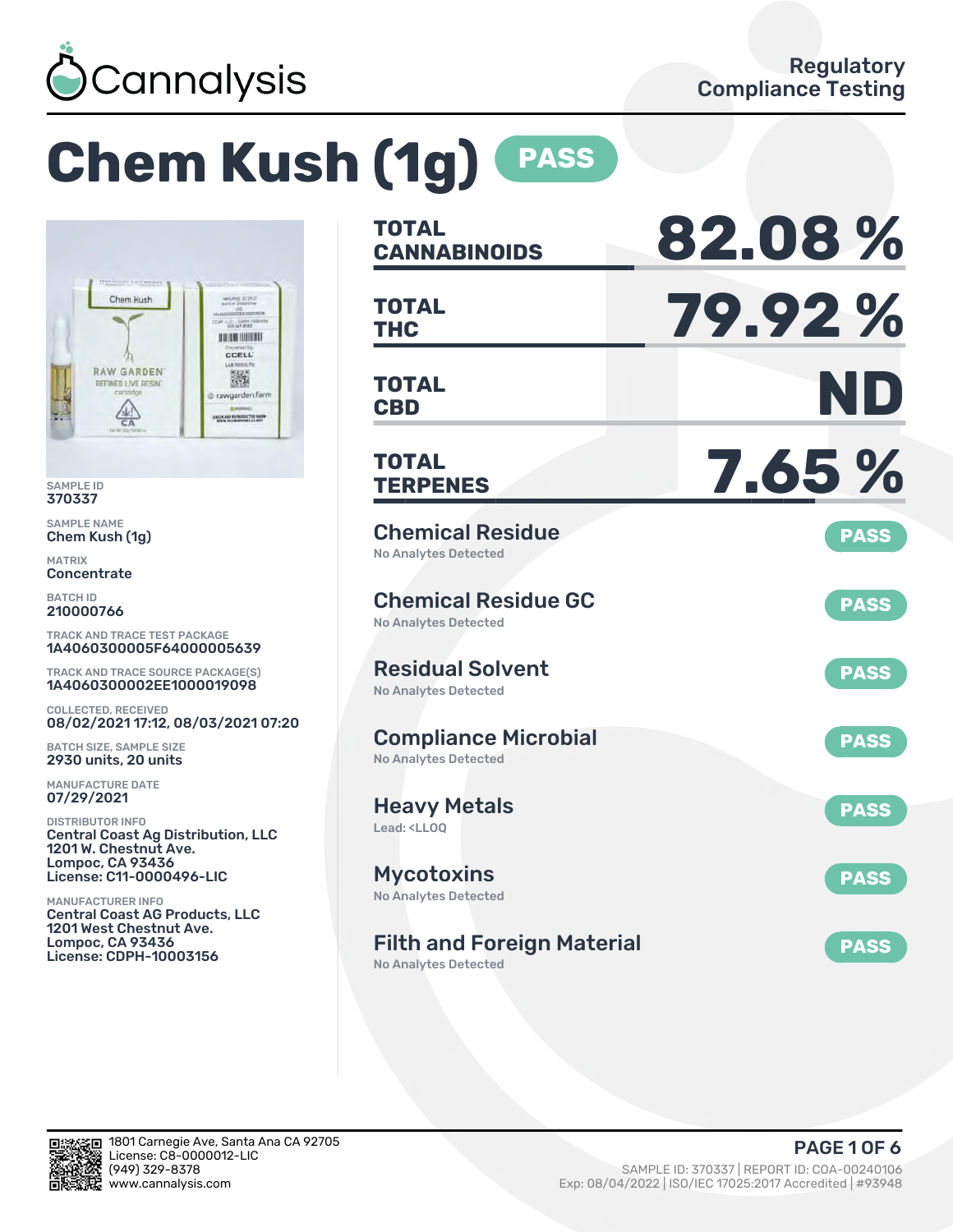

# **Chem Kush (1g) PASS**



SAMPLE ID 370337

SAMPLE NAME Chem Kush (1g)

MATRIX **Concentrate** 

BATCH ID 210000766

TRACK AND TRACE TEST PACKAGE 1A4060300005F64000005639

TRACK AND TRACE SOURCE PACKAGE(S) 1A4060300002EE1000019098

COLLECTED, RECEIVED 08/02/2021 17:12, 08/03/2021 07:20

BATCH SIZE, SAMPLE SIZE 2930 units, 20 units

MANUFACTURE DATE 07/29/2021

DISTRIBUTOR INFO Central Coast Ag Distribution, LLC 1201 W. Chestnut Ave. Lompoc, CA 93436 License: C11-0000496-LIC

MANUFACTURER INFO Central Coast AG Products, LLC 1201 West Chestnut Ave. Lompoc, CA 93436 License: CDPH-10003156

| <b>TOTAL</b><br><b>CANNABINOIDS</b>                                    | 82.08%      |
|------------------------------------------------------------------------|-------------|
| <b>TOTAL</b><br><b>THC</b>                                             | 79.92%      |
| <b>TOTAL</b><br><b>CBD</b>                                             | ND          |
| TOTAL<br><b>TERPENES</b>                                               | 7.65 %      |
| <b>Chemical Residue</b><br>No Analytes Detected                        | <b>PASS</b> |
| <b>Chemical Residue GC</b><br><b>No Analytes Detected</b>              | <b>PASS</b> |
| <b>Residual Solvent</b><br><b>No Analytes Detected</b>                 | <b>PASS</b> |
| <b>Compliance Microbial</b><br><b>No Analytes Detected</b>             | <b>PASS</b> |
| <b>Heavy Metals</b><br>Lead: <ll00< td=""><td><b>PASS</b></td></ll00<> | <b>PASS</b> |
| <b>Mycotoxins</b><br>No Analytes Detected                              | <b>PASS</b> |
| <b>Filth and Foreign Material</b><br><b>No Analytes Detected</b>       | <b>PASS</b> |

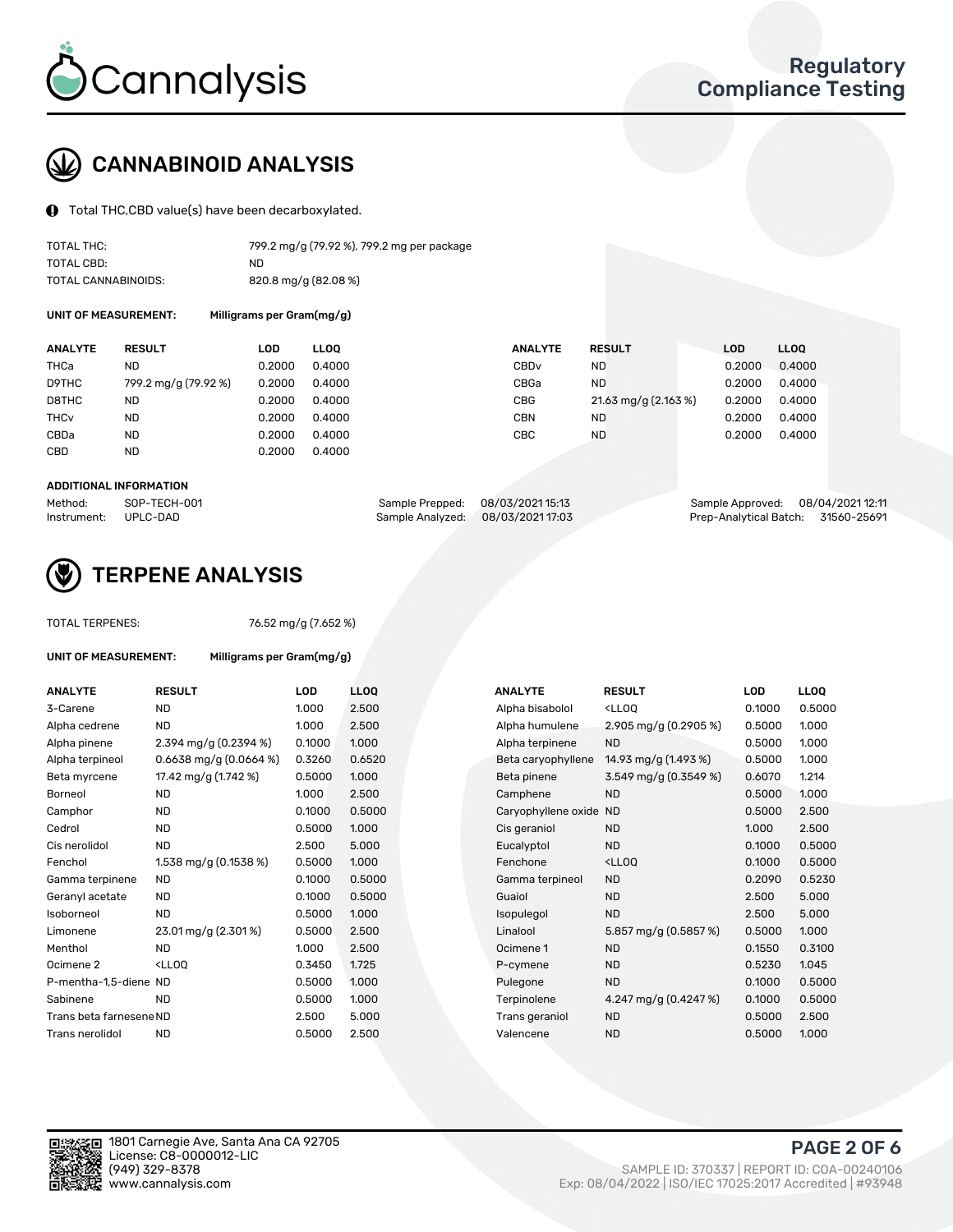

## CANNABINOID ANALYSIS

Total THC,CBD value(s) have been decarboxylated.

| TOTAL THC:          | 799.2 mg/g (79.92 %), 799.2 mg per package |
|---------------------|--------------------------------------------|
| TOTAL CBD:          | ND.                                        |
| TOTAL CANNABINOIDS: | 820.8 mg/g (82.08 %)                       |

UNIT OF MEASUREMENT: Milligrams per Gram(mg/g)

| <b>ANALYTE</b>         | <b>RESULT</b>        | LOD    | <b>LLOO</b> | <b>ANALYTE</b>   | <b>RESULT</b>        | <b>LOD</b> | <b>LLOO</b> |
|------------------------|----------------------|--------|-------------|------------------|----------------------|------------|-------------|
| THCa                   | ND                   | 0.2000 | 0.4000      | CBD <sub>v</sub> | ND                   | 0.2000     | 0.4000      |
| D9THC                  | 799.2 mg/g (79.92 %) | 0.2000 | 0.4000      | CBGa             | <b>ND</b>            | 0.2000     | 0.4000      |
| D8THC                  | ND                   | 0.2000 | 0.4000      | CBG              | 21.63 mg/g (2.163 %) | 0.2000     | 0.4000      |
| <b>THC<sub>v</sub></b> | <b>ND</b>            | 0.2000 | 0.4000      | CBN              | ND                   | 0.2000     | 0.4000      |
| CBDa                   | ND                   | 0.2000 | 0.4000      | CBC              | ND                   | 0.2000     | 0.4000      |
| CBD                    | <b>ND</b>            | 0.2000 | 0.4000      |                  |                      |            |             |
|                        |                      |        |             |                  |                      |            |             |

#### ADDITIONAL INFORMATION

| Method:              | SOP-TECH-001 | Sample Prepped: 08/03/2021 15:13 | Sample Approved: 08/04/2021 12:11  |  |
|----------------------|--------------|----------------------------------|------------------------------------|--|
| Instrument: UPLC-DAD |              | Sample Analyzed: 08/03/202117:03 | Prep-Analytical Batch: 31560-25691 |  |



## TERPENE ANALYSIS

| UNIT OF MEASUREMENT: |  |
|----------------------|--|
|                      |  |

TOTAL TERPENES: 76.52 mg/g (7.652 %)

Milligrams per Gram(mg/g)

| <b>ANALYTE</b>          | <b>RESULT</b>                                                                                                               | <b>LOD</b> | <b>LLOO</b> |  | <b>ANALYTE</b>         | <b>RESULT</b>                                       | <b>LOD</b> | <b>LLOQ</b> |
|-------------------------|-----------------------------------------------------------------------------------------------------------------------------|------------|-------------|--|------------------------|-----------------------------------------------------|------------|-------------|
| 3-Carene                | <b>ND</b>                                                                                                                   | 1.000      | 2.500       |  | Alpha bisabolol        | <lloq< td=""><td>0.1000</td><td>0.5000</td></lloq<> | 0.1000     | 0.5000      |
| Alpha cedrene           | <b>ND</b>                                                                                                                   | 1.000      | 2.500       |  | Alpha humulene         | 2.905 mg/g (0.2905 %)                               | 0.5000     | 1.000       |
| Alpha pinene            | 2.394 mg/g (0.2394 %)                                                                                                       | 0.1000     | 1.000       |  | Alpha terpinene        | <b>ND</b>                                           | 0.5000     | 1.000       |
| Alpha terpineol         | $0.6638$ mg/g $(0.0664\%)$                                                                                                  | 0.3260     | 0.6520      |  | Beta caryophyllene     | 14.93 mg/g (1.493 %)                                | 0.5000     | 1.000       |
| Beta myrcene            | 17.42 mg/g (1.742 %)                                                                                                        | 0.5000     | 1.000       |  | Beta pinene            | 3.549 mg/g (0.3549 %)                               | 0.6070     | 1.214       |
| Borneol                 | <b>ND</b>                                                                                                                   | 1.000      | 2.500       |  | Camphene               | <b>ND</b>                                           | 0.5000     | 1.000       |
| Camphor                 | <b>ND</b>                                                                                                                   | 0.1000     | 0.5000      |  | Caryophyllene oxide ND |                                                     | 0.5000     | 2.500       |
| Cedrol                  | <b>ND</b>                                                                                                                   | 0.5000     | 1.000       |  | Cis geraniol           | <b>ND</b>                                           | 1.000      | 2.500       |
| Cis nerolidol           | <b>ND</b>                                                                                                                   | 2.500      | 5.000       |  | Eucalyptol             | <b>ND</b>                                           | 0.1000     | 0.5000      |
| Fenchol                 | 1.538 mg/g (0.1538 %)                                                                                                       | 0.5000     | 1.000       |  | Fenchone               | <lloq< td=""><td>0.1000</td><td>0.5000</td></lloq<> | 0.1000     | 0.5000      |
| Gamma terpinene         | <b>ND</b>                                                                                                                   | 0.1000     | 0.5000      |  | Gamma terpineol        | <b>ND</b>                                           | 0.2090     | 0.5230      |
| Geranyl acetate         | <b>ND</b>                                                                                                                   | 0.1000     | 0.5000      |  | Guaiol                 | <b>ND</b>                                           | 2.500      | 5.000       |
| Isoborneol              | <b>ND</b>                                                                                                                   | 0.5000     | 1.000       |  | Isopulegol             | <b>ND</b>                                           | 2.500      | 5.000       |
| Limonene                | 23.01 mg/g (2.301 %)                                                                                                        | 0.5000     | 2.500       |  | Linalool               | 5.857 mg/g (0.5857 %)                               | 0.5000     | 1.000       |
| Menthol                 | <b>ND</b>                                                                                                                   | 1.000      | 2.500       |  | Ocimene 1              | <b>ND</b>                                           | 0.1550     | 0.3100      |
| Ocimene <sub>2</sub>    | <lloq< td=""><td>0.3450</td><td>1.725</td><td></td><td>P-cymene</td><td><b>ND</b></td><td>0.5230</td><td>1.045</td></lloq<> | 0.3450     | 1.725       |  | P-cymene               | <b>ND</b>                                           | 0.5230     | 1.045       |
| P-mentha-1,5-diene ND   |                                                                                                                             | 0.5000     | 1.000       |  | Pulegone               | <b>ND</b>                                           | 0.1000     | 0.5000      |
| Sabinene                | <b>ND</b>                                                                                                                   | 0.5000     | 1.000       |  | Terpinolene            | 4.247 mg/g (0.4247 %)                               | 0.1000     | 0.5000      |
| Trans beta farnesene ND |                                                                                                                             | 2.500      | 5.000       |  | Trans geraniol         | <b>ND</b>                                           | 0.5000     | 2.500       |
| Trans nerolidol         | <b>ND</b>                                                                                                                   | 0.5000     | 2.500       |  | Valencene              | <b>ND</b>                                           | 0.5000     | 1.000       |

| <b>NALYTE</b>         | <b>RESULT</b>                                       | LOD    | LL <sub>OO</sub> |
|-----------------------|-----------------------------------------------------|--------|------------------|
| <b>Npha bisabolol</b> | <lloo< td=""><td>0.1000</td><td>0.5000</td></lloo<> | 0.1000 | 0.5000           |
| <b>Npha humulene</b>  | 2.905 mg/g (0.2905 %)                               | 0.5000 | 1.000            |
| <b>Npha terpinene</b> | <b>ND</b>                                           | 0.5000 | 1.000            |
| Beta caryophyllene    | 14.93 mg/g (1.493 %)                                | 0.5000 | 1.000            |
| 3eta pinene           | 3.549 mg/g (0.3549 %)                               | 0.6070 | 1.214            |
| Camphene              | <b>ND</b>                                           | 0.5000 | 1.000            |
| Caryophyllene oxide   | <b>ND</b>                                           | 0.5000 | 2.500            |
| Cis geraniol          | <b>ND</b>                                           | 1.000  | 2.500            |
| ucalyptol:            | <b>ND</b>                                           | 0.1000 | 0.5000           |
| Fenchone              | <lloq< td=""><td>0.1000</td><td>0.5000</td></lloq<> | 0.1000 | 0.5000           |
| Gamma terpineol       | <b>ND</b>                                           | 0.2090 | 0.5230           |
| <b>Guaiol</b>         | <b>ND</b>                                           | 2.500  | 5.000            |
| sopulegol             | <b>ND</b>                                           | 2.500  | 5.000            |
| inalool               | 5.857 mg/g (0.5857 %)                               | 0.5000 | 1.000            |
| )cimene 1             | <b>ND</b>                                           | 0.1550 | 0.3100           |
| <sup>2</sup> -cymene  | <b>ND</b>                                           | 0.5230 | 1.045            |
| Pulegone              | <b>ND</b>                                           | 0.1000 | 0.5000           |
| erpinolene            | 4.247 mg/g (0.4247 %)                               | 0.1000 | 0.5000           |
| rans geraniol         | <b>ND</b>                                           | 0.5000 | 2.500            |
| /alencene             | <b>ND</b>                                           | 0.5000 | 1.000            |
|                       |                                                     |        |                  |

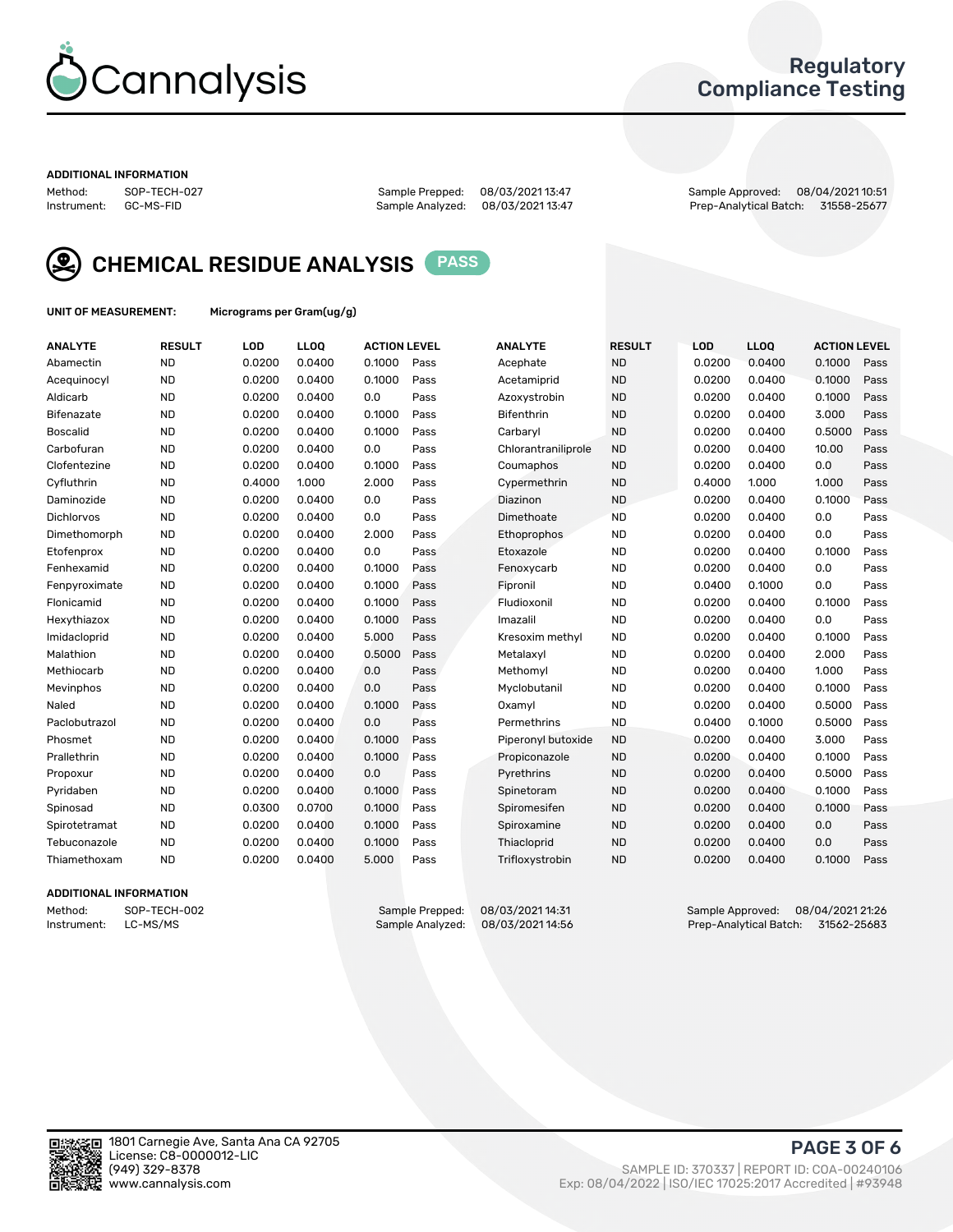

## Regulatory Compliance Testing

#### ADDITIONAL INFORMATION

| Method:     | SOP-TECH-02 |
|-------------|-------------|
| Instrument: | GC-MS-FID   |

Method: SOP-TECH-027 Sample Prepped: 08/03/2021 13:47 Sample Approved: 08/04/2021 10:51 Prep-Analytical Batch: 31558-25677



CHEMICAL RESIDUE ANALYSIS PASS

UNIT OF MEASUREMENT: Micrograms per Gram(ug/g)

| <b>ANALYTE</b>    | <b>RESULT</b> | LOD    | LLOQ   | <b>ACTION LEVEL</b> |      | <b>ANALYTE</b>      | <b>RESULT</b> | LOD    | <b>LLOQ</b> | <b>ACTION LEVEL</b> |      |
|-------------------|---------------|--------|--------|---------------------|------|---------------------|---------------|--------|-------------|---------------------|------|
| Abamectin         | <b>ND</b>     | 0.0200 | 0.0400 | 0.1000              | Pass | Acephate            | <b>ND</b>     | 0.0200 | 0.0400      | 0.1000              | Pass |
| Acequinocyl       | <b>ND</b>     | 0.0200 | 0.0400 | 0.1000              | Pass | Acetamiprid         | <b>ND</b>     | 0.0200 | 0.0400      | 0.1000              | Pass |
| Aldicarb          | <b>ND</b>     | 0.0200 | 0.0400 | 0.0                 | Pass | Azoxystrobin        | <b>ND</b>     | 0.0200 | 0.0400      | 0.1000              | Pass |
| Bifenazate        | <b>ND</b>     | 0.0200 | 0.0400 | 0.1000              | Pass | <b>Bifenthrin</b>   | <b>ND</b>     | 0.0200 | 0.0400      | 3.000               | Pass |
| <b>Boscalid</b>   | <b>ND</b>     | 0.0200 | 0.0400 | 0.1000              | Pass | Carbarvl            | <b>ND</b>     | 0.0200 | 0.0400      | 0.5000              | Pass |
| Carbofuran        | <b>ND</b>     | 0.0200 | 0.0400 | 0.0                 | Pass | Chlorantraniliprole | <b>ND</b>     | 0.0200 | 0.0400      | 10.00               | Pass |
| Clofentezine      | <b>ND</b>     | 0.0200 | 0.0400 | 0.1000              | Pass | Coumaphos           | <b>ND</b>     | 0.0200 | 0.0400      | 0.0                 | Pass |
| Cyfluthrin        | <b>ND</b>     | 0.4000 | 1.000  | 2.000               | Pass | Cypermethrin        | <b>ND</b>     | 0.4000 | 1.000       | 1.000               | Pass |
| Daminozide        | <b>ND</b>     | 0.0200 | 0.0400 | 0.0                 | Pass | Diazinon            | <b>ND</b>     | 0.0200 | 0.0400      | 0.1000              | Pass |
| <b>Dichlorvos</b> | <b>ND</b>     | 0.0200 | 0.0400 | 0.0                 | Pass | Dimethoate          | <b>ND</b>     | 0.0200 | 0.0400      | 0.0                 | Pass |
| Dimethomorph      | <b>ND</b>     | 0.0200 | 0.0400 | 2.000               | Pass | <b>Ethoprophos</b>  | <b>ND</b>     | 0.0200 | 0.0400      | 0.0                 | Pass |
| Etofenprox        | <b>ND</b>     | 0.0200 | 0.0400 | 0.0                 | Pass | Etoxazole           | <b>ND</b>     | 0.0200 | 0.0400      | 0.1000              | Pass |
| Fenhexamid        | <b>ND</b>     | 0.0200 | 0.0400 | 0.1000              | Pass | Fenoxycarb          | <b>ND</b>     | 0.0200 | 0.0400      | 0.0                 | Pass |
| Fenpyroximate     | <b>ND</b>     | 0.0200 | 0.0400 | 0.1000              | Pass | Fipronil            | <b>ND</b>     | 0.0400 | 0.1000      | 0.0                 | Pass |
| Flonicamid        | <b>ND</b>     | 0.0200 | 0.0400 | 0.1000              | Pass | Fludioxonil         | <b>ND</b>     | 0.0200 | 0.0400      | 0.1000              | Pass |
| Hexythiazox       | <b>ND</b>     | 0.0200 | 0.0400 | 0.1000              | Pass | Imazalil            | <b>ND</b>     | 0.0200 | 0.0400      | 0.0                 | Pass |
| Imidacloprid      | <b>ND</b>     | 0.0200 | 0.0400 | 5.000               | Pass | Kresoxim methyl     | <b>ND</b>     | 0.0200 | 0.0400      | 0.1000              | Pass |
| Malathion         | <b>ND</b>     | 0.0200 | 0.0400 | 0.5000              | Pass | Metalaxyl           | <b>ND</b>     | 0.0200 | 0.0400      | 2.000               | Pass |
| Methiocarb        | <b>ND</b>     | 0.0200 | 0.0400 | 0.0                 | Pass | Methomyl            | <b>ND</b>     | 0.0200 | 0.0400      | 1.000               | Pass |
| Mevinphos         | <b>ND</b>     | 0.0200 | 0.0400 | 0.0                 | Pass | Myclobutanil        | <b>ND</b>     | 0.0200 | 0.0400      | 0.1000              | Pass |
| Naled             | <b>ND</b>     | 0.0200 | 0.0400 | 0.1000              | Pass | Oxamyl              | <b>ND</b>     | 0.0200 | 0.0400      | 0.5000              | Pass |
| Paclobutrazol     | <b>ND</b>     | 0.0200 | 0.0400 | 0.0                 | Pass | Permethrins         | <b>ND</b>     | 0.0400 | 0.1000      | 0.5000              | Pass |
| Phosmet           | <b>ND</b>     | 0.0200 | 0.0400 | 0.1000              | Pass | Piperonyl butoxide  | <b>ND</b>     | 0.0200 | 0.0400      | 3.000               | Pass |
| Prallethrin       | <b>ND</b>     | 0.0200 | 0.0400 | 0.1000              | Pass | Propiconazole       | <b>ND</b>     | 0.0200 | 0.0400      | 0.1000              | Pass |
| Propoxur          | <b>ND</b>     | 0.0200 | 0.0400 | 0.0                 | Pass | Pyrethrins          | <b>ND</b>     | 0.0200 | 0.0400      | 0.5000              | Pass |
| Pyridaben         | <b>ND</b>     | 0.0200 | 0.0400 | 0.1000              | Pass | Spinetoram          | <b>ND</b>     | 0.0200 | 0.0400      | 0.1000              | Pass |
| Spinosad          | <b>ND</b>     | 0.0300 | 0.0700 | 0.1000              | Pass | Spiromesifen        | <b>ND</b>     | 0.0200 | 0.0400      | 0.1000              | Pass |
| Spirotetramat     | <b>ND</b>     | 0.0200 | 0.0400 | 0.1000              | Pass | Spiroxamine         | <b>ND</b>     | 0.0200 | 0.0400      | 0.0                 | Pass |
| Tebuconazole      | <b>ND</b>     | 0.0200 | 0.0400 | 0.1000              | Pass | Thiacloprid         | <b>ND</b>     | 0.0200 | 0.0400      | 0.0                 | Pass |
| Thiamethoxam      | <b>ND</b>     | 0.0200 | 0.0400 | 5.000               | Pass | Trifloxystrobin     | <b>ND</b>     | 0.0200 | 0.0400      | 0.1000              | Pass |

#### ADDITIONAL INFORMATION

| Method:     | SOP-TECH-002 |
|-------------|--------------|
| Instrument: | LC-MS/MS     |

Sample Prepped: 08/03/2021 14:31 Sample Approved: 08/04/2021 21:26<br>Sample Analyzed: 08/03/2021 14:56 Prep-Analytical Batch: 31562-25683 Prep-Analytical Batch: 31562-25683

PAGE 3 OF 6

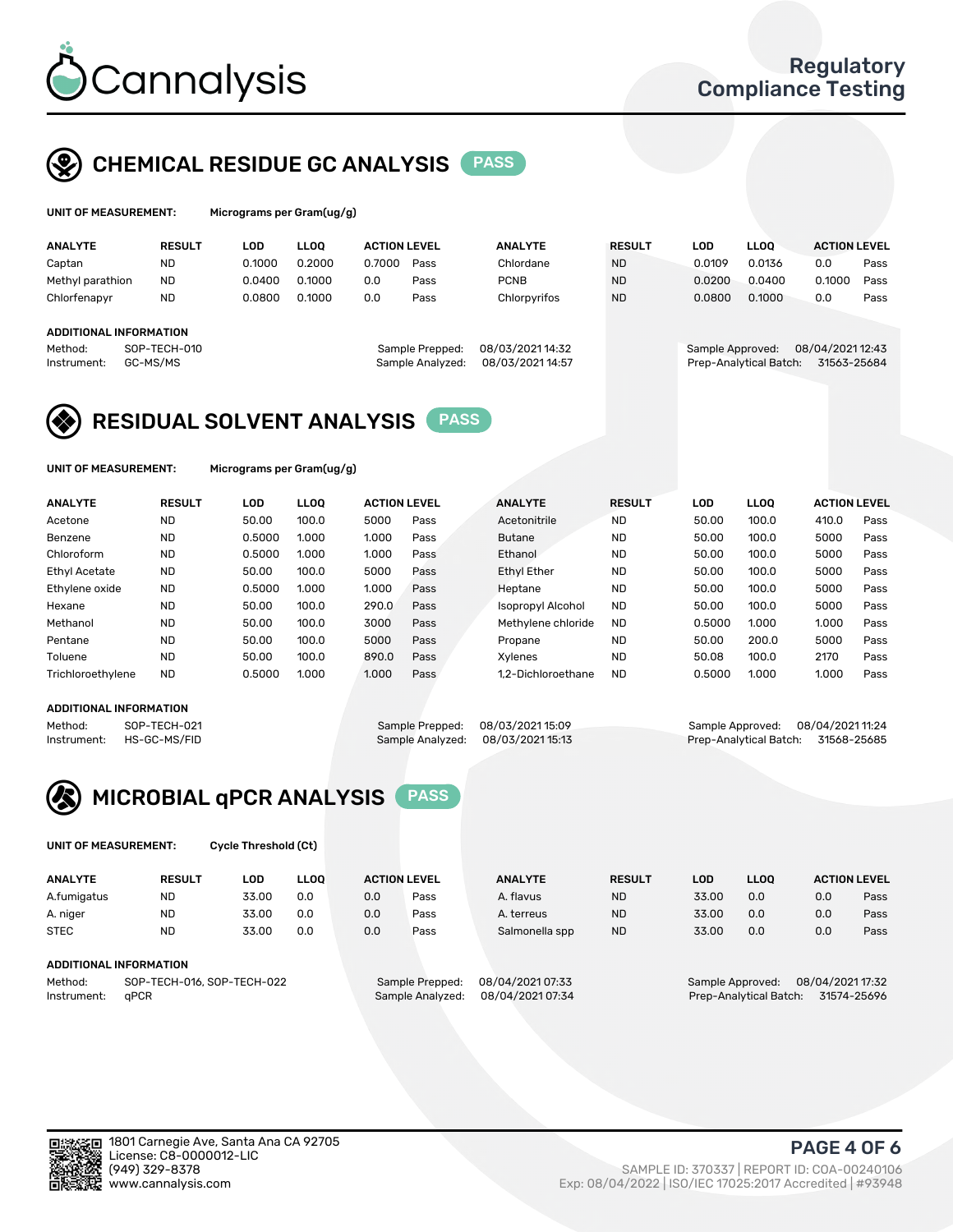

## CHEMICAL RESIDUE GC ANALYSIS PASS

| UNIT OF MEASUREMENT: | Microgr |
|----------------------|---------|
|----------------------|---------|

rams per Gram(ug/g)

| <b>ANALYTE</b>         | <b>RESULT</b>            | LOD    | <b>LLOO</b> | <b>ACTION LEVEL</b> |                                     | <b>ANALYTE</b>                       | <b>RESULT</b> | LOD              | <b>LLOO</b>            | <b>ACTION LEVEL</b>             |      |
|------------------------|--------------------------|--------|-------------|---------------------|-------------------------------------|--------------------------------------|---------------|------------------|------------------------|---------------------------------|------|
| Captan                 | <b>ND</b>                | 0.1000 | 0.2000      | 0.7000              | Pass                                | Chlordane                            | <b>ND</b>     | 0.0109           | 0.0136                 | 0.0                             | Pass |
| Methyl parathion       | <b>ND</b>                | 0.0400 | 0.1000      | 0.0                 | Pass                                | <b>PCNB</b>                          | <b>ND</b>     | 0.0200           | 0.0400                 | 0.1000                          | Pass |
| Chlorfenapyr           | <b>ND</b>                | 0.0800 | 0.1000      | 0.0                 | Pass                                | Chlorpyrifos                         | <b>ND</b>     | 0.0800           | 0.1000                 | 0.0                             | Pass |
|                        |                          |        |             |                     |                                     |                                      |               |                  |                        |                                 |      |
| ADDITIONAL INFORMATION |                          |        |             |                     |                                     |                                      |               |                  |                        |                                 |      |
| Method:<br>Instrument: | SOP-TECH-010<br>GC-MS/MS |        |             |                     | Sample Prepped:<br>Sample Analyzed: | 08/03/2021 14:32<br>08/03/2021 14:57 |               | Sample Approved: | Prep-Analytical Batch: | 08/04/2021 12:43<br>31563-25684 |      |

## RESIDUAL SOLVENT ANALYSIS PASS

UNIT OF MEASUREMENT: Micrograms per Gram(ug/g)

| <b>ANALYTE</b>       | <b>RESULT</b> | LOD    | <b>LLOO</b> | <b>ACTION LEVEL</b> |      | <b>ANALYTE</b>           | <b>RESULT</b> | LOD    | LLOO  | <b>ACTION LEVEL</b> |      |
|----------------------|---------------|--------|-------------|---------------------|------|--------------------------|---------------|--------|-------|---------------------|------|
| Acetone              | <b>ND</b>     | 50.00  | 100.0       | 5000                | Pass | Acetonitrile             | <b>ND</b>     | 50.00  | 100.0 | 410.0               | Pass |
| Benzene              | <b>ND</b>     | 0.5000 | 1.000       | 1.000               | Pass | <b>Butane</b>            | <b>ND</b>     | 50.00  | 100.0 | 5000                | Pass |
| Chloroform           | <b>ND</b>     | 0.5000 | 1.000       | 1.000               | Pass | Ethanol                  | <b>ND</b>     | 50.00  | 100.0 | 5000                | Pass |
| <b>Ethyl Acetate</b> | <b>ND</b>     | 50.00  | 100.0       | 5000                | Pass | <b>Ethyl Ether</b>       | <b>ND</b>     | 50.00  | 100.0 | 5000                | Pass |
| Ethylene oxide       | <b>ND</b>     | 0.5000 | 1.000       | 1.000               | Pass | Heptane                  | <b>ND</b>     | 50.00  | 100.0 | 5000                | Pass |
| Hexane               | <b>ND</b>     | 50.00  | 100.0       | 290.0               | Pass | <b>Isopropyl Alcohol</b> | <b>ND</b>     | 50.00  | 100.0 | 5000                | Pass |
| Methanol             | <b>ND</b>     | 50.00  | 100.0       | 3000                | Pass | Methylene chloride       | <b>ND</b>     | 0.5000 | 1.000 | 1.000               | Pass |
| Pentane              | <b>ND</b>     | 50.00  | 100.0       | 5000                | Pass | Propane                  | <b>ND</b>     | 50.00  | 200.0 | 5000                | Pass |
| Toluene              | <b>ND</b>     | 50.00  | 100.0       | 890.0               | Pass | Xvlenes                  | <b>ND</b>     | 50.08  | 100.0 | 2170                | Pass |
| Trichloroethylene    | <b>ND</b>     | 0.5000 | 1.000       | 1.000               | Pass | 1.2-Dichloroethane       | <b>ND</b>     | 0.5000 | 1.000 | 1.000               | Pass |

#### ADDITIONAL INFORMATION

Method: SOP-TECH-021 Sample Prepped: 08/03/202115:09 Sample Approved: 08/04/202111:24<br>Instrument: HS-GC-MS/FID Sample Analyzed: 08/03/202115:13 Prep-Analytical Batch: 31568-25685 Prep-Analytical Batch: 31568-25685



UNIT OF MEASUREMENT: Cycle Threshold (Ct)

| <b>ANALYTE</b> | <b>RESULT</b>              | LOD   | <b>LLOO</b> |     | <b>ACTION LEVEL</b> | <b>ANALYTE</b>   | <b>RESULT</b>                         | <b>LOD</b>                           | <b>LLOO</b> | <b>ACTION LEVEL</b> |      |
|----------------|----------------------------|-------|-------------|-----|---------------------|------------------|---------------------------------------|--------------------------------------|-------------|---------------------|------|
| A.fumigatus    | <b>ND</b>                  | 33.00 | 0.0         | 0.0 | Pass                | A. flavus        | <b>ND</b>                             | 33.00                                | 0.0         | 0.0                 | Pass |
| A. niger       | <b>ND</b>                  | 33.00 | 0.0         | 0.0 | Pass                | A. terreus       | <b>ND</b>                             | 33.00                                | 0.0         | 0.0                 | Pass |
| <b>STEC</b>    | <b>ND</b>                  | 33.00 | 0.0         | 0.0 | Pass                | Salmonella spp   | <b>ND</b>                             | 33.00                                | 0.0         | 0.0                 | Pass |
|                | ADDITIONAL INFORMATION     |       |             |     |                     |                  |                                       |                                      |             |                     |      |
| Method:        | SOP-TECH-016, SOP-TECH-022 |       |             |     | Sample Prepped:     | 08/04/2021 07:33 |                                       | 08/04/2021 17:32<br>Sample Approved: |             |                     |      |
| Instrument:    | aPCR                       |       |             |     | Sample Analyzed:    | 08/04/2021 07:34 | 31574-25696<br>Prep-Analytical Batch: |                                      |             |                     |      |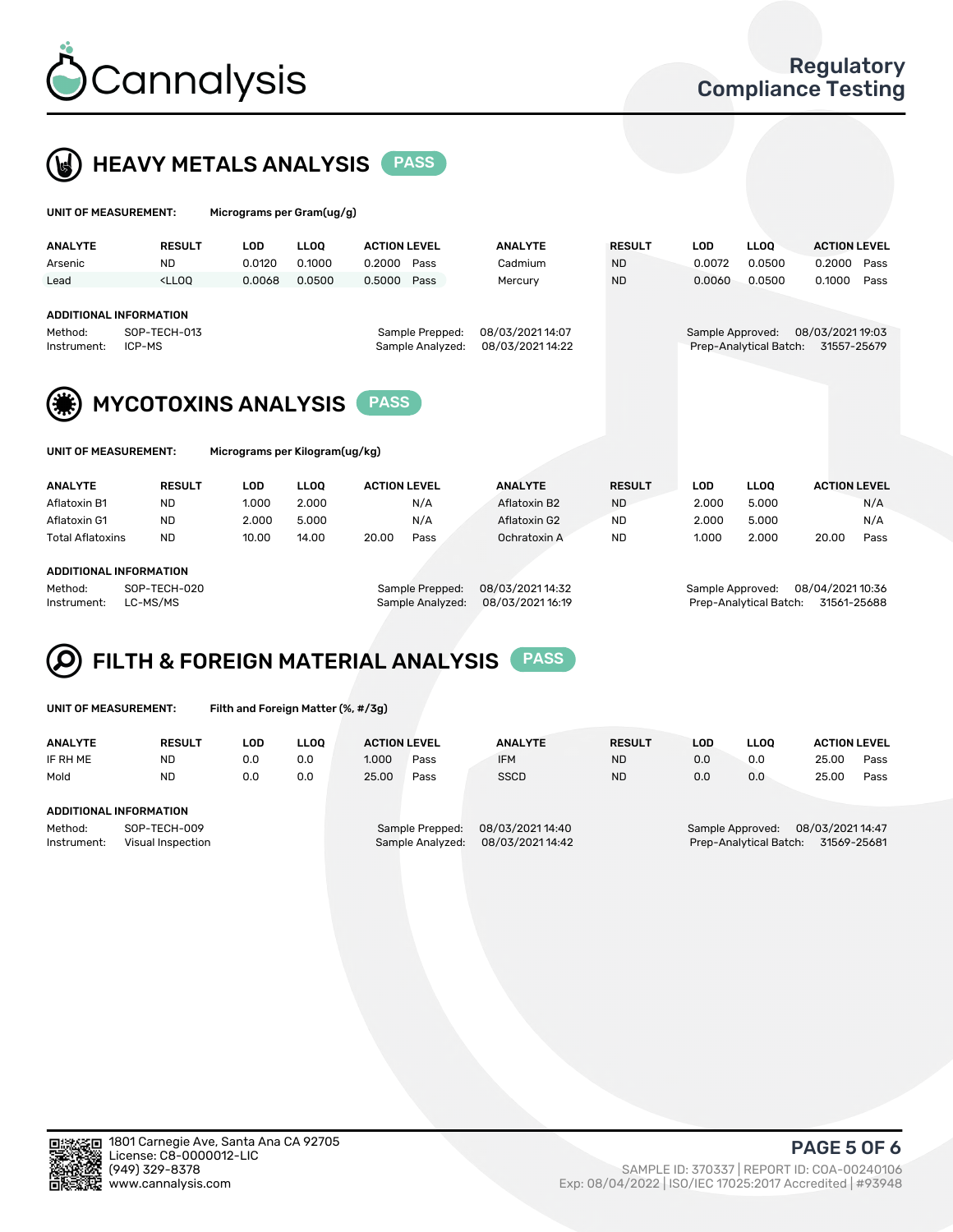

 $U$ UNIT OF MEASUREMENT: Micrograms per Gram(ug/g)



|                                           |                                                                                                                                                                             | $: $ . $$ $: $ $: $ $$ $$ $$ $$ $$ $$ |             |                     |                  |                |                                       |            |             |                     |      |  |
|-------------------------------------------|-----------------------------------------------------------------------------------------------------------------------------------------------------------------------------|---------------------------------------|-------------|---------------------|------------------|----------------|---------------------------------------|------------|-------------|---------------------|------|--|
| <b>ANALYTE</b>                            | <b>RESULT</b>                                                                                                                                                               | <b>LOD</b>                            | <b>LLOO</b> | <b>ACTION LEVEL</b> |                  | <b>ANALYTE</b> | <b>RESULT</b>                         | <b>LOD</b> | <b>LLOQ</b> | <b>ACTION LEVEL</b> |      |  |
| Arsenic                                   | <b>ND</b>                                                                                                                                                                   | 0.0120                                | 0.1000      | 0.2000              | Pass             | Cadmium        | <b>ND</b>                             | 0.0072     | 0.0500      | 0.2000              | Pass |  |
| Lead                                      | <lloq< td=""><td>0.0068</td><td>0.0500</td><td>0.5000</td><td>Pass</td><td>Mercury</td><td><b>ND</b></td><td>0.0060</td><td>0.0500</td><td>0.1000</td><td>Pass</td></lloq<> | 0.0068                                | 0.0500      | 0.5000              | Pass             | Mercury        | <b>ND</b>                             | 0.0060     | 0.0500      | 0.1000              | Pass |  |
| <b>ADDITIONAL INFORMATION</b>             |                                                                                                                                                                             |                                       |             |                     |                  |                |                                       |            |             |                     |      |  |
|                                           |                                                                                                                                                                             |                                       |             |                     |                  |                |                                       |            |             |                     |      |  |
| Method:                                   | SOP-TECH-013                                                                                                                                                                |                                       |             | Sample Prepped:     | 08/03/2021 14:07 |                | Sample Approved:                      |            |             | 08/03/2021 19:03    |      |  |
| ICP-MS<br>Instrument:                     |                                                                                                                                                                             |                                       |             | Sample Analyzed:    | 08/03/2021 14:22 |                | Prep-Analytical Batch:<br>31557-25679 |            |             |                     |      |  |
| <b>MYCOTOXINS ANALYSIS</b><br><b>PASS</b> |                                                                                                                                                                             |                                       |             |                     |                  |                |                                       |            |             |                     |      |  |
| UNIT OF MEASUREMENT:                      |                                                                                                                                                                             | Micrograms per Kilogram(ug/kg)        |             |                     |                  |                |                                       |            |             |                     |      |  |
| <b>ANALYTE</b>                            | <b>RESULT</b>                                                                                                                                                               | <b>LOD</b>                            | <b>LLOO</b> | <b>ACTION LEVEL</b> |                  | <b>ANALYTE</b> | <b>RESULT</b>                         | <b>LOD</b> | <b>LLOO</b> | <b>ACTION LEVEL</b> |      |  |
| Aflatoxin B1                              | <b>ND</b>                                                                                                                                                                   | 1.000                                 | 2.000       |                     | N/A              | Aflatoxin B2   | <b>ND</b>                             | 2.000      | 5.000       |                     | N/A  |  |

Aflatoxin G1 ND 2.000 5.000 N/A Aflatoxin G2 ND 2.000 5.000 N/A Total Aflatoxins ND 10.00 14.00 20.00 Pass Ochratoxin A ND 1.000 2.000 20.00 Pass

#### ADDITIONAL INFORMATION

Method: SOP-TECH-020 Sample Prepped: 08/03/2021 14:32 Sample Approved: 08/04/2021 10:36 Instrument: LC-MS/MS Sample Analyzed: 08/03/2021 16:19 Prep-Analytical Batch: 31561-25688

# FILTH & FOREIGN MATERIAL ANALYSIS PASS

UNIT OF MEASUREMENT: Filth and Foreign Matter (%, #/3g)

| <b>ANALYTE</b>                                              | <b>RESULT</b> | LOD | <b>LLOO</b> | <b>ACTION LEVEL</b>                 |      | <b>ANALYTE</b>                      | <b>RESULT</b> | LOD                                                                           | <b>LLOO</b> |       | <b>ACTION LEVEL</b> |  |
|-------------------------------------------------------------|---------------|-----|-------------|-------------------------------------|------|-------------------------------------|---------------|-------------------------------------------------------------------------------|-------------|-------|---------------------|--|
| IF RH ME                                                    | <b>ND</b>     | 0.0 | 0.0         | 1.000                               | Pass | <b>IFM</b>                          | <b>ND</b>     | 0.0                                                                           | 0.0         | 25.00 | Pass                |  |
| Mold                                                        | <b>ND</b>     | 0.0 | 0.0         | 25.00                               | Pass | <b>SSCD</b>                         | <b>ND</b>     | 0.0                                                                           | 0.0         | 25.00 | Pass                |  |
| ADDITIONAL INFORMATION                                      |               |     |             |                                     |      |                                     |               |                                                                               |             |       |                     |  |
| Method:<br>SOP-TECH-009<br>Instrument:<br>Visual Inspection |               |     |             | Sample Prepped:<br>Sample Analyzed: |      | 08/03/2021 14:40<br>08/03/202114:42 |               | 08/03/2021 14:47<br>Sample Approved:<br>Prep-Analytical Batch:<br>31569-25681 |             |       |                     |  |



PAGE 5 OF 6